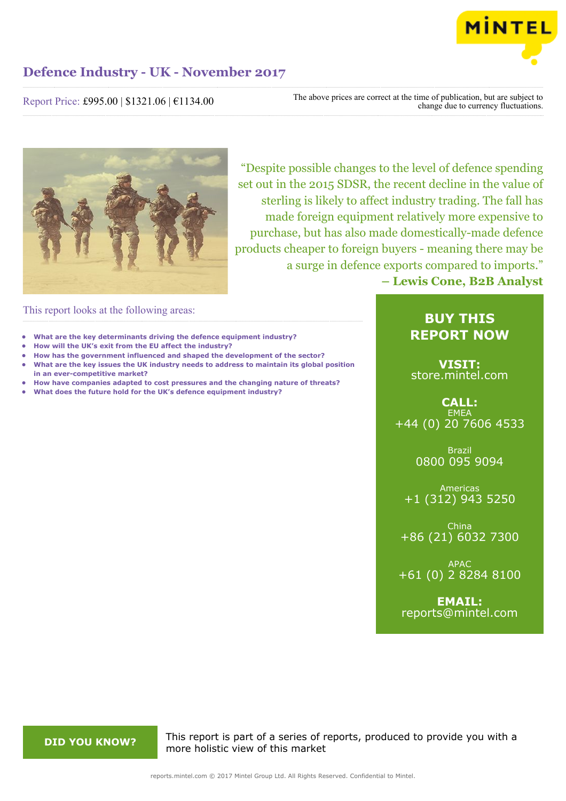

Report Price: £995.00 | \$1321.06 | €1134.00

The above prices are correct at the time of publication, but are subject to change due to currency fluctuations.



"Despite possible changes to the level of defence spending set out in the 2015 SDSR, the recent decline in the value of sterling is likely to affect industry trading. The fall has made foreign equipment relatively more expensive to purchase, but has also made domestically-made defence products cheaper to foreign buyers - meaning there may be a surge in defence exports compared to imports." **– Lewis Cone, B2B Analyst**

This report looks at the following areas:

- **• What are the key determinants driving the defence equipment industry?**
- **• How will the UK's exit from the EU affect the industry?**
- **• How has the government influenced and shaped the development of the sector? • What are the key issues the UK industry needs to address to maintain its global position in an ever-competitive market?**
- **• How have companies adapted to cost pressures and the changing nature of threats?**
- **• What does the future hold for the UK's defence equipment industry?**

# **BUY THIS REPORT NOW**

**VISIT:** [store.mintel.com](http://reports.mintel.com//display/store/795197/)

**CALL: EMEA** +44 (0) 20 7606 4533

> Brazil 0800 095 9094

Americas +1 (312) 943 5250

China +86 (21) 6032 7300

APAC +61 (0) 2 8284 8100

**EMAIL:** [reports@mintel.com](mailto:reports@mintel.com)

**DID YOU KNOW?** This report is part of a series of reports, produced to provide you with a more holistic view of this market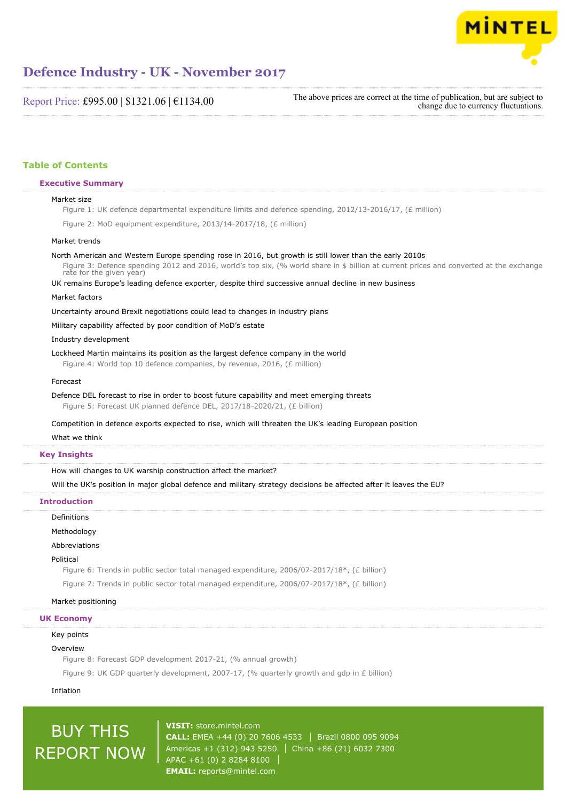

Report Price: £995.00 | \$1321.06 | €1134.00

The above prices are correct at the time of publication, but are subject to change due to currency fluctuations.

## **Table of Contents**

#### **Executive Summary**

#### Market size

Figure 1: UK defence departmental expenditure limits and defence spending, 2012/13-2016/17, (£ million)

Figure 2: MoD equipment expenditure, 2013/14-2017/18, (£ million)

#### Market trends

North American and Western Europe spending rose in 2016, but growth is still lower than the early 2010s Figure 3: Defence spending 2012 and 2016, world's top six, (% world share in \$ billion at current prices and converted at the exchange

rate for the given year)

UK remains Europe's leading defence exporter, despite third successive annual decline in new business

#### Market factors

Uncertainty around Brexit negotiations could lead to changes in industry plans

Military capability affected by poor condition of MoD's estate

Industry development

Lockheed Martin maintains its position as the largest defence company in the world

Figure 4: World top 10 defence companies, by revenue, 2016, (£ million)

#### Forecast

Defence DEL forecast to rise in order to boost future capability and meet emerging threats

Figure 5: Forecast UK planned defence DEL, 2017/18-2020/21, (£ billion)

Competition in defence exports expected to rise, which will threaten the UK's leading European position

#### What we think

### **Key Insights**

How will changes to UK warship construction affect the market?

Will the UK's position in major global defence and military strategy decisions be affected after it leaves the EU?

#### **Introduction**

Definitions

Methodology

Abbreviations

#### Political

Figure 6: Trends in public sector total managed expenditure, 2006/07-2017/18\*, (£ billion)

Figure 7: Trends in public sector total managed expenditure, 2006/07-2017/18\*, (£ billion)

#### Market positioning

#### **UK Economy**

Key points

#### Overview

Figure 8: Forecast GDP development 2017-21, (% annual growth)

Figure 9: UK GDP quarterly development, 2007-17, (% quarterly growth and gdp in £ billion)

Inflation

# BUY THIS REPORT NOW

**VISIT:** [store.mintel.com](http://reports.mintel.com//display/store/795197/) **CALL:** EMEA +44 (0) 20 7606 4533 Brazil 0800 095 9094 Americas +1 (312) 943 5250 | China +86 (21) 6032 7300 APAC +61 (0) 2 8284 8100 **EMAIL:** [reports@mintel.com](mailto:reports@mintel.com)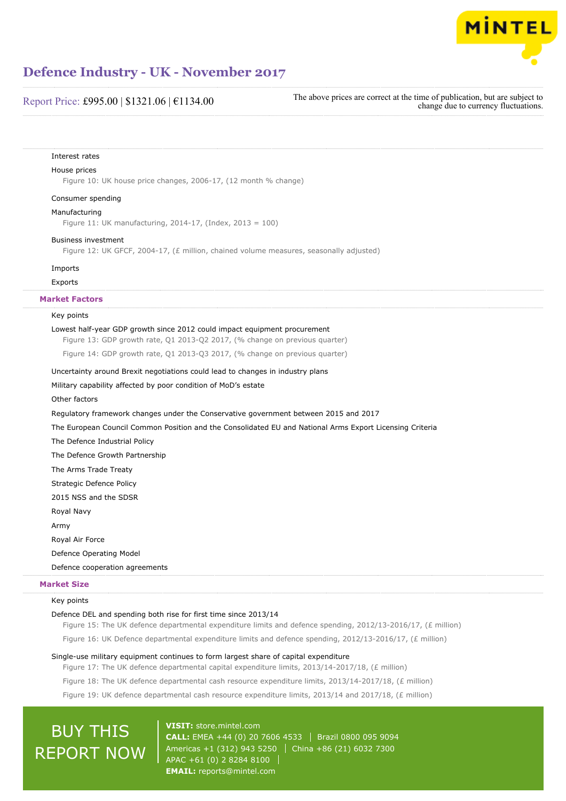

## Report Price: £995.00 | \$1321.06 | €1134.00

The above prices are correct at the time of publication, but are subject to change due to currency fluctuations.

#### Interest rates

### House prices

Figure 10: UK house price changes, 2006-17, (12 month % change)

## Consumer spending

#### Manufacturing

Figure 11: UK manufacturing, 2014-17, (Index, 2013 = 100)

#### Business investment

Figure 12: UK GFCF, 2004-17, (£ million, chained volume measures, seasonally adjusted)

#### Imports

#### Exports

## **Market Factors**

#### Key points

#### Lowest half-year GDP growth since 2012 could impact equipment procurement

Figure 13: GDP growth rate, Q1 2013-Q2 2017, (% change on previous quarter)

Figure 14: GDP growth rate, Q1 2013-Q3 2017, (% change on previous quarter)

#### Uncertainty around Brexit negotiations could lead to changes in industry plans

#### Military capability affected by poor condition of MoD's estate

Other factors

Regulatory framework changes under the Conservative government between 2015 and 2017

The European Council Common Position and the Consolidated EU and National Arms Export Licensing Criteria

The Defence Industrial Policy

The Defence Growth Partnership

The Arms Trade Treaty

Strategic Defence Policy

2015 NSS and the SDSR

Royal Navy

Army

Royal Air Force

Defence Operating Model

Defence cooperation agreements

#### **Market Size**

### Key points

#### Defence DEL and spending both rise for first time since 2013/14

Figure 15: The UK defence departmental expenditure limits and defence spending, 2012/13-2016/17, (£ million)

Figure 16: UK Defence departmental expenditure limits and defence spending, 2012/13-2016/17, (£ million)

#### Single-use military equipment continues to form largest share of capital expenditure

Figure 17: The UK defence departmental capital expenditure limits, 2013/14-2017/18, (£ million)

Figure 18: The UK defence departmental cash resource expenditure limits, 2013/14-2017/18, (£ million)

Figure 19: UK defence departmental cash resource expenditure limits, 2013/14 and 2017/18, (£ million)

# BUY THIS REPORT NOW

**VISIT:** [store.mintel.com](http://reports.mintel.com//display/store/795197/) **CALL:** EMEA +44 (0) 20 7606 4533 Brazil 0800 095 9094 Americas +1 (312) 943 5250 | China +86 (21) 6032 7300 APAC +61 (0) 2 8284 8100 **EMAIL:** [reports@mintel.com](mailto:reports@mintel.com)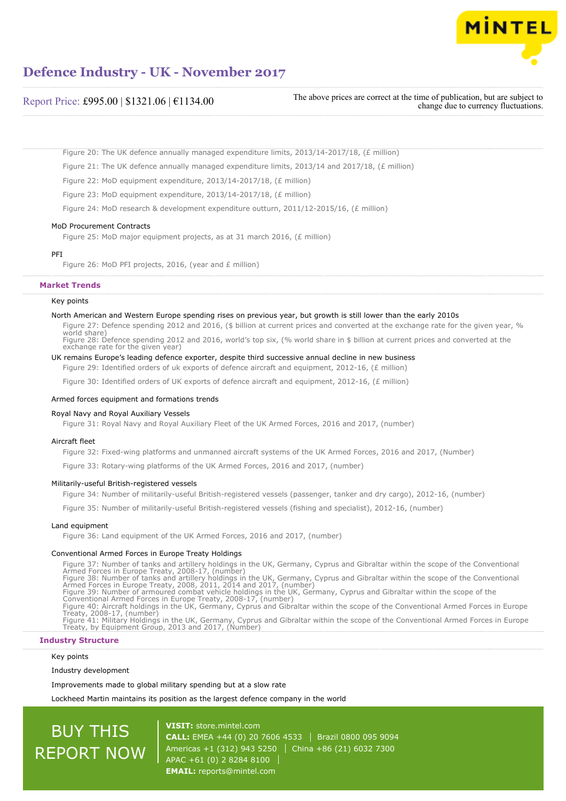

## Report Price: £995.00 | \$1321.06 | €1134.00

The above prices are correct at the time of publication, but are subject to change due to currency fluctuations.

Figure 20: The UK defence annually managed expenditure limits, 2013/14-2017/18, (£ million)

Figure 21: The UK defence annually managed expenditure limits, 2013/14 and 2017/18, (£ million)

Figure 22: MoD equipment expenditure, 2013/14-2017/18, (£ million)

Figure 23: MoD equipment expenditure, 2013/14-2017/18, (£ million)

Figure 24: MoD research & development expenditure outturn, 2011/12-2015/16, (£ million)

#### MoD Procurement Contracts

Figure 25: MoD major equipment projects, as at 31 march 2016, (£ million)

#### PFI

Figure 26: MoD PFI projects, 2016, (year and £ million)

### **Market Trends**

#### Key points

#### North American and Western Europe spending rises on previous year, but growth is still lower than the early 2010s

Figure 27: Defence spending 2012 and 2016, (\$ billion at current prices and converted at the exchange rate for the given year, % world share) Figure 28: Defence spending 2012 and 2016, world's top six, (% world share in \$ billion at current prices and converted at the exchange rate for the given year)

#### UK remains Europe's leading defence exporter, despite third successive annual decline in new business

Figure 29: Identified orders of uk exports of defence aircraft and equipment, 2012-16, (£ million)

Figure 30: Identified orders of UK exports of defence aircraft and equipment, 2012-16, (£ million)

#### Armed forces equipment and formations trends

#### Royal Navy and Royal Auxiliary Vessels

Figure 31: Royal Navy and Royal Auxiliary Fleet of the UK Armed Forces, 2016 and 2017, (number)

#### Aircraft fleet

Figure 32: Fixed-wing platforms and unmanned aircraft systems of the UK Armed Forces, 2016 and 2017, (Number)

Figure 33: Rotary-wing platforms of the UK Armed Forces, 2016 and 2017, (number)

#### Militarily-useful British-registered vessels

Figure 34: Number of militarily-useful British-registered vessels (passenger, tanker and dry cargo), 2012-16, (number)

Figure 35: Number of militarily-useful British-registered vessels (fishing and specialist), 2012-16, (number)

#### Land equipment

Figure 36: Land equipment of the UK Armed Forces, 2016 and 2017, (number)

#### Conventional Armed Forces in Europe Treaty Holdings

Figure 37: Number of tanks and artillery holdings in the UK, Germany, Cyprus and Gibraltar within the scope of the Conventional<br>Armed Forces in Europe Treaty, 2008-17, (number)<br>Figure 38: Number of tanks and artillery hold Conventional Armed Forces in Europe Treaty, 2008-17, (number)<br>Figure 40: Aircraft holdings in the UK, Germany, Cyprus and Gibraltar within the scope of the Conventional Armed Forces in Europe<br>Treaty, 2008-17, (number)<br>Figu

#### **Industry Structure**

#### Key points

Industry development

Improvements made to global military spending but at a slow rate

Lockheed Martin maintains its position as the largest defence company in the world

# BUY THIS REPORT NOW

**VISIT:** [store.mintel.com](http://reports.mintel.com//display/store/795197/) **CALL:** EMEA +44 (0) 20 7606 4533 | Brazil 0800 095 9094 Americas +1 (312) 943 5250 | China +86 (21) 6032 7300 APAC +61 (0) 2 8284 8100 **EMAIL:** [reports@mintel.com](mailto:reports@mintel.com)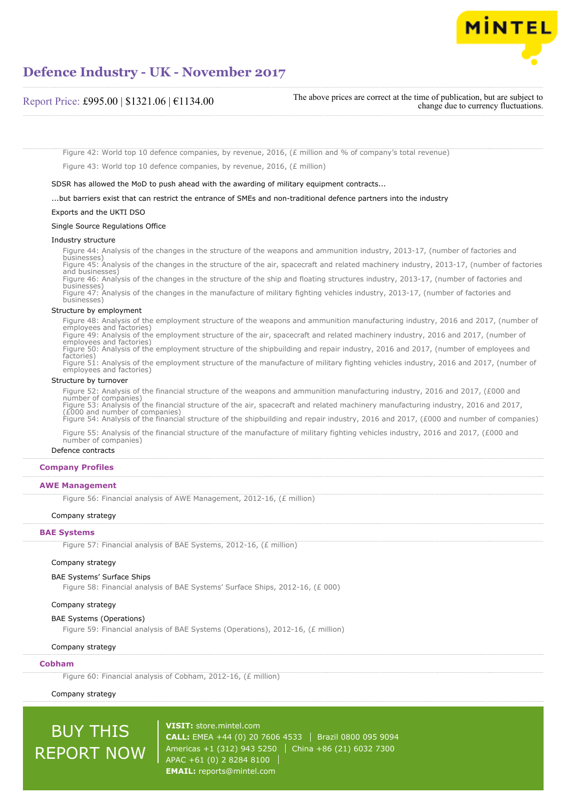

## Report Price: £995.00 | \$1321.06 | €1134.00

The above prices are correct at the time of publication, but are subject to change due to currency fluctuations.

Figure 42: World top 10 defence companies, by revenue, 2016, (£ million and % of company's total revenue) Figure 43: World top 10 defence companies, by revenue, 2016, (£ million)

SDSR has allowed the MoD to push ahead with the awarding of military equipment contracts...

...but barriers exist that can restrict the entrance of SMEs and non-traditional defence partners into the industry

#### Exports and the UKTI DSO

#### Single Source Regulations Office

#### Industry structure

Figure 44: Analysis of the changes in the structure of the weapons and ammunition industry, 2013-17, (number of factories and businesses) Figure 45: Analysis of the changes in the structure of the air, spacecraft and related machinery industry, 2013-17, (number of factories and businesses) Figure 46: Analysis of the changes in the structure of the ship and floating structures industry, 2013-17, (number of factories and businesses) Figure 47: Analysis of the changes in the manufacture of military fighting vehicles industry, 2013-17, (number of factories and businesses)

#### Structure by employment

Figure 48: Analysis of the employment structure of the weapons and ammunition manufacturing industry, 2016 and 2017, (number of employees and factories) Figure 49: Analysis of the employment structure of the air, spacecraft and related machinery industry, 2016 and 2017, (number of employees and factories) Figure 50: Analysis of the employment structure of the shipbuilding and repair industry, 2016 and 2017, (number of employees and factories) factories) Figure 51: Analysis of the employment structure of the manufacture of military fighting vehicles industry, 2016 and 2017, (number of employees and factories)

#### Structure by turnover

Figure 52: Analysis of the financial structure of the weapons and ammunition manufacturing industry, 2016 and 2017, (£000 and number of companies) Figure 53: Analysis of the financial structure of the air, spacecraft and related machinery manufacturing industry, 2016 and 2017, (£000 and number of companies) Figure 54: Analysis of the financial structure of the shipbuilding and repair industry, 2016 and 2017, (£000 and number of companies)

Figure 55: Analysis of the financial structure of the manufacture of military fighting vehicles industry, 2016 and 2017, (£000 and number of companies)

#### Defence contracts

#### **Company Profiles**

#### **AWE Management**

Figure 56: Financial analysis of AWE Management, 2012-16, (£ million)

#### Company strategy

#### **BAE Systems**

Figure 57: Financial analysis of BAE Systems, 2012-16, (£ million)

## Company strategy

#### BAE Systems' Surface Ships

Figure 58: Financial analysis of BAE Systems' Surface Ships, 2012-16, (£ 000)

#### Company strategy

#### BAE Systems (Operations)

Figure 59: Financial analysis of BAE Systems (Operations), 2012-16, (£ million)

#### Company strategy

#### **Cobham**

Figure 60: Financial analysis of Cobham, 2012-16, (£ million)

## Company strategy

BUY THIS

REPORT NOW

**VISIT:** [store.mintel.com](http://reports.mintel.com//display/store/795197/) **CALL:** EMEA +44 (0) 20 7606 4533 | Brazil 0800 095 9094 Americas +1 (312) 943 5250 | China +86 (21) 6032 7300 APAC +61 (0) 2 8284 8100 **EMAIL:** [reports@mintel.com](mailto:reports@mintel.com)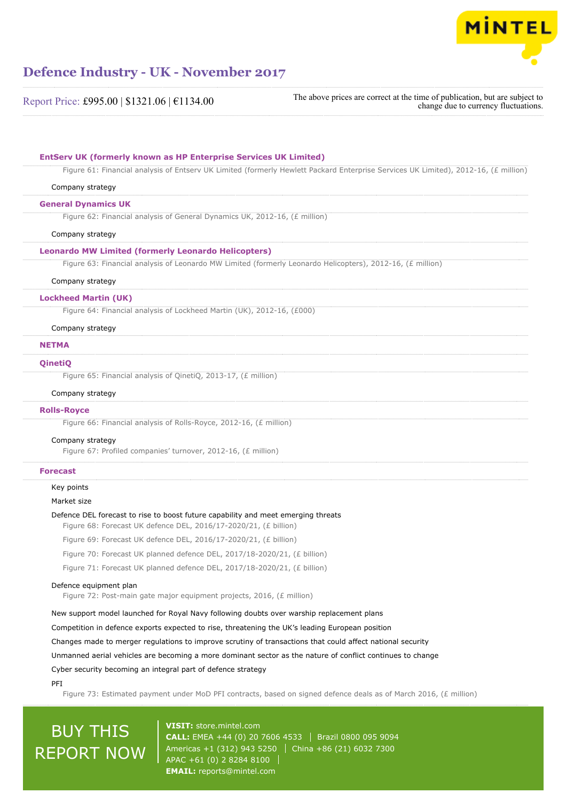

The above prices are correct at the time of publication, but are subject to change due to currency fluctuations.

| Company strategy            |                                                                                                            |
|-----------------------------|------------------------------------------------------------------------------------------------------------|
| <b>General Dynamics UK</b>  |                                                                                                            |
|                             | Figure 62: Financial analysis of General Dynamics UK, 2012-16, (£ million)                                 |
| Company strategy            |                                                                                                            |
|                             | <b>Leonardo MW Limited (formerly Leonardo Helicopters)</b>                                                 |
|                             | Figure 63: Financial analysis of Leonardo MW Limited (formerly Leonardo Helicopters), 2012-16, (£ million) |
| Company strategy            |                                                                                                            |
| <b>Lockheed Martin (UK)</b> |                                                                                                            |
|                             | Figure 64: Financial analysis of Lockheed Martin (UK), 2012-16, (£000)                                     |
| Company strategy            |                                                                                                            |
| <b>NETMA</b>                |                                                                                                            |
|                             |                                                                                                            |
| QinetiQ                     |                                                                                                            |
|                             | Figure 65: Financial analysis of QinetiQ, 2013-17, (£ million)                                             |
| Company strategy            |                                                                                                            |
| <b>Rolls-Royce</b>          |                                                                                                            |
|                             | Figure 66: Financial analysis of Rolls-Royce, 2012-16, (£ million)                                         |
| Company strategy            |                                                                                                            |
|                             | Figure 67: Profiled companies' turnover, 2012-16, (£ million)                                              |
| <b>Forecast</b>             |                                                                                                            |
| Key points                  |                                                                                                            |
| Market size                 |                                                                                                            |
|                             | Defence DEL forecast to rise to boost future capability and meet emerging threats                          |
|                             | Figure 68: Forecast UK defence DEL, 2016/17-2020/21, (£ billion)                                           |
|                             | Figure 69: Forecast UK defence DEL, 2016/17-2020/21, (£ billion)                                           |
|                             | Figure 70: Forecast UK planned defence DEL, 2017/18-2020/21, (£ billion)                                   |
|                             | Figure 71: Forecast UK planned defence DEL, 2017/18-2020/21, (£ billion)                                   |
| Defence equipment plan      |                                                                                                            |
|                             | Figure 72: Post-main gate major equipment projects, 2016, (£ million)                                      |
|                             | New support model launched for Royal Navy following doubts over warship replacement plans                  |
|                             | Competition in defence exports expected to rise, threatening the UK's leading European position            |
|                             | Changes made to merger regulations to improve scrutiny of transactions that could affect national security |
|                             | Unmanned aerial vehicles are becoming a more dominant sector as the nature of conflict continues to change |
|                             | Cyber security becoming an integral part of defence strategy                                               |
|                             |                                                                                                            |

Figure 73: Estimated payment under MoD PFI contracts, based on signed defence deals as of March 2016, (£ million)

# BUY THIS REPORT NOW

**VISIT:** [store.mintel.com](http://reports.mintel.com//display/store/795197/) **CALL:** EMEA +44 (0) 20 7606 4533 | Brazil 0800 095 9094 Americas +1 (312) 943 5250 | China +86 (21) 6032 7300 APAC +61 (0) 2 8284 8100 **EMAIL:** [reports@mintel.com](mailto:reports@mintel.com)